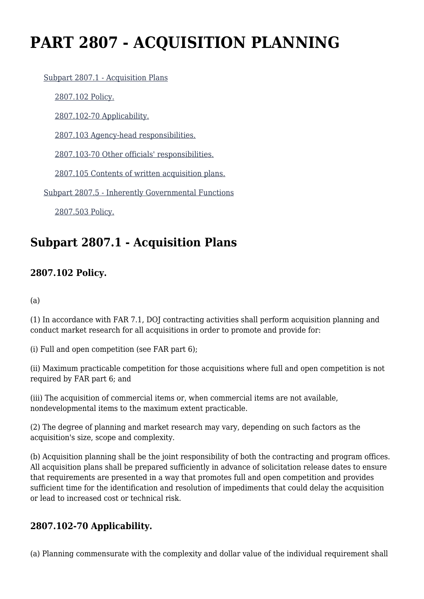# **PART 2807 - ACQUISITION PLANNING**

[Subpart 2807.1 - Acquisition Plans](https://login.acquisition.gov/%5Brp:link:jar-part-2807%5D#Subpart_2807_1_T48_60116181)

[2807.102 Policy.](https://login.acquisition.gov/%5Brp:link:jar-part-2807%5D#Section_2807_102_T48_6011618111)

[2807.102-70 Applicability.](https://login.acquisition.gov/%5Brp:link:jar-part-2807%5D#Section_2807_102_70_T48_6011618112)

[2807.103 Agency-head responsibilities.](https://login.acquisition.gov/%5Brp:link:jar-part-2807%5D#Section_2807_103_T48_6011618113)

[2807.103-70 Other officials' responsibilities.](https://login.acquisition.gov/%5Brp:link:jar-part-2807%5D#Section_2807_103_70_T48_6011618114)

[2807.105 Contents of written acquisition plans.](https://login.acquisition.gov/%5Brp:link:jar-part-2807%5D#Section_2807_105_T48_6011618115)

[Subpart 2807.5 - Inherently Governmental Functions](https://login.acquisition.gov/%5Brp:link:jar-part-2807%5D#Subpart_2807_5_T48_60116182)

[2807.503 Policy.](https://login.acquisition.gov/%5Brp:link:jar-part-2807%5D#Section_2807_503_T48_6011618211)

## **Subpart 2807.1 - Acquisition Plans**

#### **2807.102 Policy.**

(a)

(1) In accordance with FAR 7.1, DOJ contracting activities shall perform acquisition planning and conduct market research for all acquisitions in order to promote and provide for:

(i) Full and open competition (see FAR part 6);

(ii) Maximum practicable competition for those acquisitions where full and open competition is not required by FAR part 6; and

(iii) The acquisition of commercial items or, when commercial items are not available, nondevelopmental items to the maximum extent practicable.

(2) The degree of planning and market research may vary, depending on such factors as the acquisition's size, scope and complexity.

(b) Acquisition planning shall be the joint responsibility of both the contracting and program offices. All acquisition plans shall be prepared sufficiently in advance of solicitation release dates to ensure that requirements are presented in a way that promotes full and open competition and provides sufficient time for the identification and resolution of impediments that could delay the acquisition or lead to increased cost or technical risk.

#### **2807.102-70 Applicability.**

(a) Planning commensurate with the complexity and dollar value of the individual requirement shall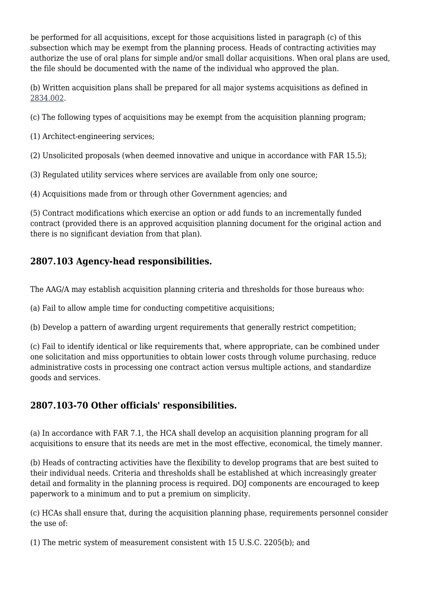be performed for all acquisitions, except for those acquisitions listed in paragraph (c) of this subsection which may be exempt from the planning process. Heads of contracting activities may authorize the use of oral plans for simple and/or small dollar acquisitions. When oral plans are used, the file should be documented with the name of the individual who approved the plan.

(b) Written acquisition plans shall be prepared for all major systems acquisitions as defined in [2834.002.](https://login.acquisition.gov/%5Brp:link:jar-part-2834%5D#Section_2834_002_T48_60116529111)

(c) The following types of acquisitions may be exempt from the acquisition planning program;

(1) Architect-engineering services;

(2) Unsolicited proposals (when deemed innovative and unique in accordance with FAR 15.5);

(3) Regulated utility services where services are available from only one source;

(4) Acquisitions made from or through other Government agencies; and

(5) Contract modifications which exercise an option or add funds to an incrementally funded contract (provided there is an approved acquisition planning document for the original action and there is no significant deviation from that plan).

### **2807.103 Agency-head responsibilities.**

The AAG/A may establish acquisition planning criteria and thresholds for those bureaus who:

(a) Fail to allow ample time for conducting competitive acquisitions;

(b) Develop a pattern of awarding urgent requirements that generally restrict competition;

(c) Fail to identify identical or like requirements that, where appropriate, can be combined under one solicitation and miss opportunities to obtain lower costs through volume purchasing, reduce administrative costs in processing one contract action versus multiple actions, and standardize goods and services.

#### **2807.103-70 Other officials' responsibilities.**

(a) In accordance with FAR 7.1, the HCA shall develop an acquisition planning program for all acquisitions to ensure that its needs are met in the most effective, economical, the timely manner.

(b) Heads of contracting activities have the flexibility to develop programs that are best suited to their individual needs. Criteria and thresholds shall be established at which increasingly greater detail and formality in the planning process is required. DOJ components are encouraged to keep paperwork to a minimum and to put a premium on simplicity.

(c) HCAs shall ensure that, during the acquisition planning phase, requirements personnel consider the use of:

(1) The metric system of measurement consistent with 15 U.S.C. 2205(b); and